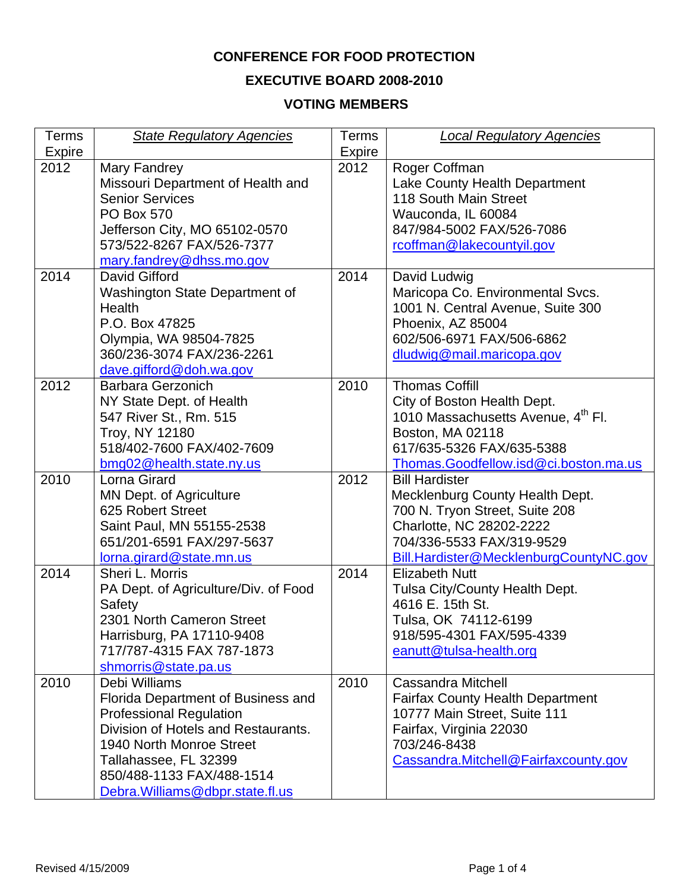# **CONFERENCE FOR FOOD PROTECTION**

## **EXECUTIVE BOARD 2008-2010**

## **VOTING MEMBERS**

| Terms  | <b>State Regulatory Agencies</b>     | Terms         | <b>Local Regulatory Agencies</b>               |
|--------|--------------------------------------|---------------|------------------------------------------------|
| Expire |                                      | <b>Expire</b> |                                                |
| 2012   | Mary Fandrey                         | 2012          | Roger Coffman                                  |
|        | Missouri Department of Health and    |               | Lake County Health Department                  |
|        | <b>Senior Services</b>               |               | 118 South Main Street                          |
|        | <b>PO Box 570</b>                    |               | Wauconda, IL 60084                             |
|        | Jefferson City, MO 65102-0570        |               | 847/984-5002 FAX/526-7086                      |
|        | 573/522-8267 FAX/526-7377            |               | rcoffman@lakecountyil.gov                      |
|        | mary.fandrey@dhss.mo.gov             |               |                                                |
| 2014   | David Gifford                        | 2014          | David Ludwig                                   |
|        | Washington State Department of       |               | Maricopa Co. Environmental Svcs.               |
|        | Health                               |               | 1001 N. Central Avenue, Suite 300              |
|        | P.O. Box 47825                       |               | Phoenix, AZ 85004                              |
|        | Olympia, WA 98504-7825               |               | 602/506-6971 FAX/506-6862                      |
|        | 360/236-3074 FAX/236-2261            |               | dludwig@mail.maricopa.gov                      |
|        | dave.gifford@doh.wa.gov              |               |                                                |
| 2012   | <b>Barbara Gerzonich</b>             | 2010          | <b>Thomas Coffill</b>                          |
|        | NY State Dept. of Health             |               | City of Boston Health Dept.                    |
|        | 547 River St., Rm. 515               |               | 1010 Massachusetts Avenue, 4 <sup>th</sup> Fl. |
|        | Troy, NY 12180                       |               | Boston, MA 02118                               |
|        | 518/402-7600 FAX/402-7609            |               | 617/635-5326 FAX/635-5388                      |
|        | bmg02@health.state.ny.us             |               | Thomas.Goodfellow.isd@ci.boston.ma.us          |
| 2010   | Lorna Girard                         | 2012          | <b>Bill Hardister</b>                          |
|        | <b>MN Dept. of Agriculture</b>       |               | Mecklenburg County Health Dept.                |
|        | 625 Robert Street                    |               | 700 N. Tryon Street, Suite 208                 |
|        | Saint Paul, MN 55155-2538            |               | Charlotte, NC 28202-2222                       |
|        | 651/201-6591 FAX/297-5637            |               | 704/336-5533 FAX/319-9529                      |
|        | lorna.girard@state.mn.us             |               | Bill.Hardister@MecklenburgCountyNC.gov         |
| 2014   | Sheri L. Morris                      | 2014          | <b>Elizabeth Nutt</b>                          |
|        | PA Dept. of Agriculture/Div. of Food |               | Tulsa City/County Health Dept.                 |
|        | Safety                               |               | 4616 E. 15th St.                               |
|        | 2301 North Cameron Street            |               | Tulsa, OK 74112-6199                           |
|        | Harrisburg, PA 17110-9408            |               | 918/595-4301 FAX/595-4339                      |
|        | 717/787-4315 FAX 787-1873            |               | eanutt@tulsa-health.org                        |
|        | shmorris@state.pa.us                 |               |                                                |
| 2010   | Debi Williams                        | 2010          | <b>Cassandra Mitchell</b>                      |
|        | Florida Department of Business and   |               | <b>Fairfax County Health Department</b>        |
|        | <b>Professional Regulation</b>       |               | 10777 Main Street, Suite 111                   |
|        | Division of Hotels and Restaurants.  |               | Fairfax, Virginia 22030                        |
|        | 1940 North Monroe Street             |               | 703/246-8438                                   |
|        | Tallahassee, FL 32399                |               | Cassandra.Mitchell@Fairfaxcounty.gov           |
|        | 850/488-1133 FAX/488-1514            |               |                                                |
|        |                                      |               |                                                |
|        | Debra. Williams@dbpr.state.fl.us     |               |                                                |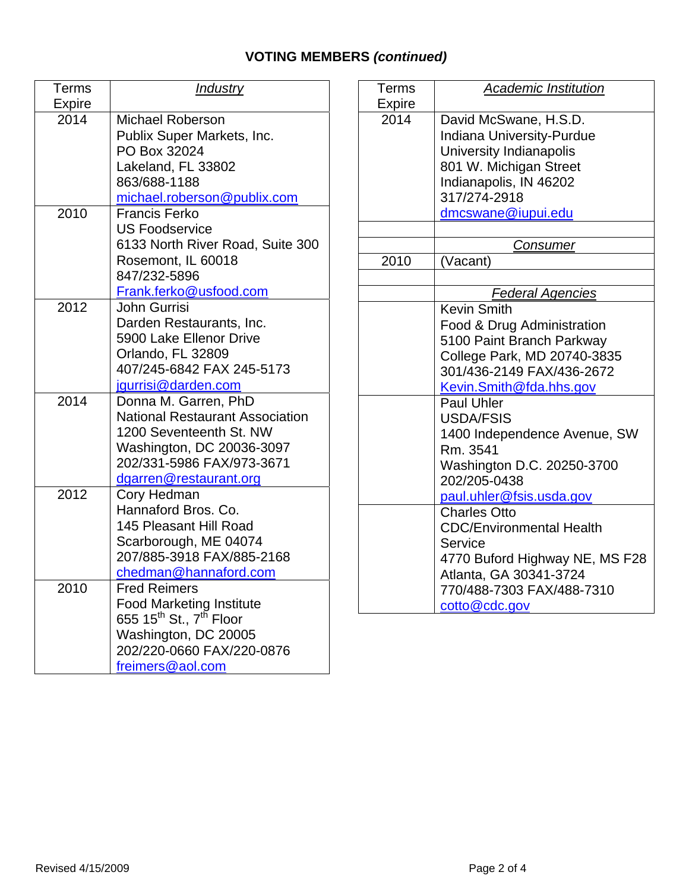# **VOTING MEMBERS** *(continued)*

| Terms         | <b>Industry</b>                                 |
|---------------|-------------------------------------------------|
| <b>Expire</b> |                                                 |
| 2014          | <b>Michael Roberson</b>                         |
|               | Publix Super Markets, Inc.                      |
|               | PO Box 32024                                    |
|               | Lakeland, FL 33802                              |
|               | 863/688-1188                                    |
|               | michael.roberson@publix.com                     |
| 2010          | Francis Ferko                                   |
|               | <b>US Foodservice</b>                           |
|               | 6133 North River Road, Suite 300                |
|               | Rosemont, IL 60018                              |
|               | 847/232-5896                                    |
|               | Frank.ferko@usfood.com                          |
| 2012          | John Gurrisi                                    |
|               | Darden Restaurants, Inc.                        |
|               | 5900 Lake Ellenor Drive                         |
|               | Orlando, FL 32809                               |
|               | 407/245-6842 FAX 245-5173                       |
|               | jgurrisi@darden.com                             |
| 2014          | Donna M. Garren, PhD                            |
|               | <b>National Restaurant Association</b>          |
|               | 1200 Seventeenth St. NW                         |
|               | Washington, DC 20036-3097                       |
|               | 202/331-5986 FAX/973-3671                       |
|               | dgarren@restaurant.org                          |
| 2012          | Cory Hedman                                     |
|               | Hannaford Bros. Co.<br>145 Pleasant Hill Road   |
|               | Scarborough, ME 04074                           |
|               | 207/885-3918 FAX/885-2168                       |
|               | chedman@hannaford.com                           |
| 2010          | <b>Fred Reimers</b>                             |
|               | <b>Food Marketing Institute</b>                 |
|               | 655 15 <sup>th</sup> St., 7 <sup>th</sup> Floor |
|               | Washington, DC 20005                            |
|               | 202/220-0660 FAX/220-0876                       |
|               | freimers@aol.com                                |

| Terms<br><b>Expire</b> | <b>Academic Institution</b>                                                                                                                                                    |
|------------------------|--------------------------------------------------------------------------------------------------------------------------------------------------------------------------------|
| 2014                   | David McSwane, H.S.D.<br><b>Indiana University-Purdue</b><br>University Indianapolis<br>801 W. Michigan Street<br>Indianapolis, IN 46202<br>317/274-2918<br>dmcswane@iupui.edu |
|                        | Consumer                                                                                                                                                                       |
| 2010                   | (Vacant)                                                                                                                                                                       |
|                        | <b>Federal Agencies</b>                                                                                                                                                        |
|                        | <b>Kevin Smith</b><br>Food & Drug Administration<br>5100 Paint Branch Parkway<br>College Park, MD 20740-3835<br>301/436-2149 FAX/436-2672<br>Kevin.Smith@fda.hhs.gov           |
|                        | <b>Paul Uhler</b><br><b>USDA/FSIS</b><br>1400 Independence Avenue, SW<br>Rm. 3541<br>Washington D.C. 20250-3700<br>202/205-0438<br>paul.uhler@fsis.usda.gov                    |
|                        | <b>Charles Otto</b><br><b>CDC/Environmental Health</b><br>Service<br>4770 Buford Highway NE, MS F28<br>Atlanta, GA 30341-3724<br>770/488-7303 FAX/488-7310<br>cotto@cdc.gov    |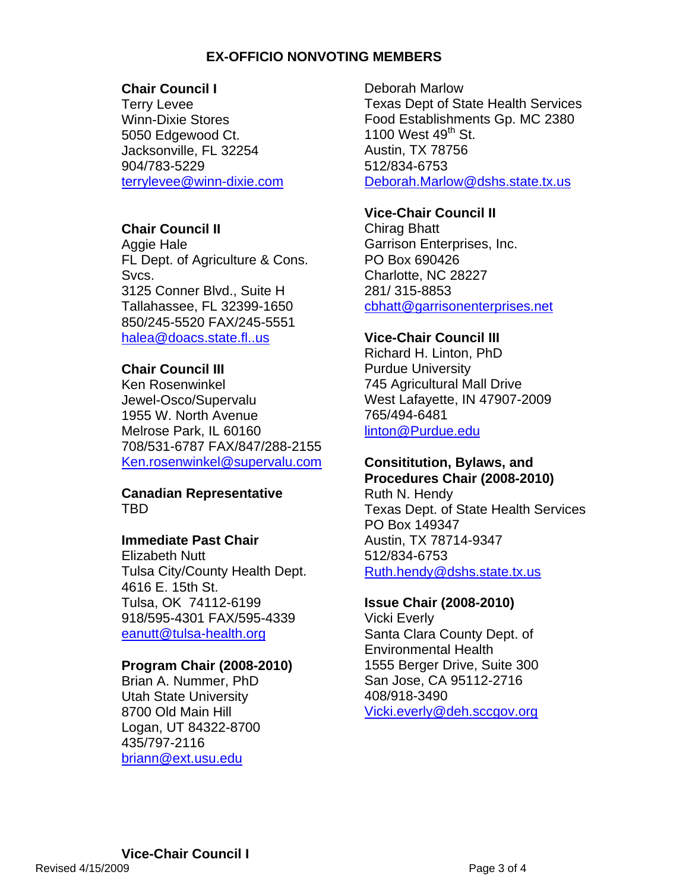#### **EX-OFFICIO NONVOTING MEMBERS**

#### **Chair Council I**

Terry Levee Winn-Dixie Stores 5050 Edgewood Ct. Jacksonville, FL 32254 904/783-5229 terrylevee@winn-dixie.com

## **Chair Council II**

Aggie Hale FL Dept. of Agriculture & Cons. Svcs. 3125 Conner Blvd., Suite H Tallahassee, FL 32399-1650 850/245-5520 FAX/245-5551 [halea@doacs.state.fl..us](mailto:halea@doacs.state.fl..us)

## **Chair Council III**

Ken Rosenwinkel Jewel-Osco/Supervalu 1955 W. North Avenue Melrose Park, IL 60160 708/531-6787 FAX/847/288-2155 [Ken.rosenwinkel@supervalu.com](mailto:Ken.rosenwinkel@supervalu.com)

#### **Canadian Representative**  TBD

#### **Immediate Past Chair**

Elizabeth Nutt Tulsa City/County Health Dept. 4616 E. 15th St. Tulsa, OK 74112-6199 918/595-4301 FAX/595-4339 [eanutt@tulsa-health.org](mailto:eanutt@tulsa-health.org)

#### **Program Chair (2008-2010)**

Brian A. Nummer, PhD Utah State University 8700 Old Main Hill Logan, UT 84322-8700 435/797-2116 briann@ext.usu.edu

Deborah Marlow Texas Dept of State Health Services Food Establishments Gp. MC 2380 1100 West  $49<sup>th</sup>$  St. Austin, TX 78756 512/834-6753 Deborah.Marlow@dshs.state.tx.us

#### **Vice-Chair Council II**

Chirag Bhatt Garrison Enterprises, Inc. PO Box 690426 Charlotte, NC 28227 281/ 315-8853 cbhatt@garrisonenterprises.net

## **Vice-Chair Council III**

Richard H. Linton, PhD Purdue University 745 Agricultural Mall Drive West Lafayette, IN 47907-2009 765/494-6481 linton@Purdue.edu

## **Consititution, Bylaws, and**

**Procedures Chair (2008-2010)**  Ruth N. Hendy Texas Dept. of State Health Services PO Box 149347 Austin, TX 78714-9347 512/834-6753 [Ruth.hendy@dshs.state.tx.us](mailto:Ruth.hendy@dshs.state.tx.us)

#### **Issue Chair (2008-2010)**

Vicki Everly Santa Clara County Dept. of Environmental Health 1555 Berger Drive, Suite 300 San Jose, CA 95112-2716 408/918-3490 Vicki.everly@deh.sccgov.org